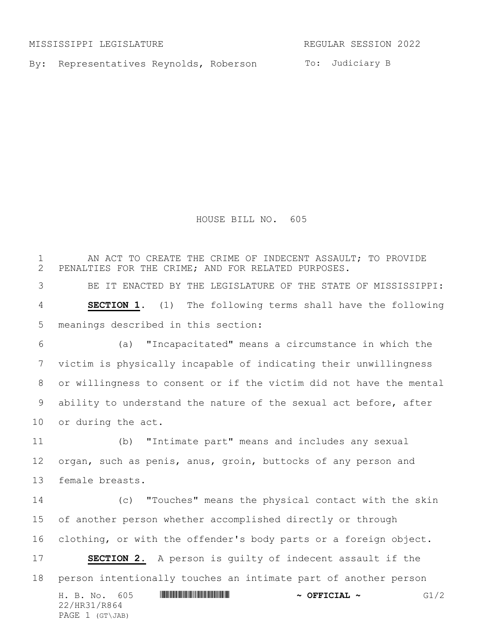MISSISSIPPI LEGISLATURE **REGULAR SESSION 2022** 

By: Representatives Reynolds, Roberson To: Judiciary B

HOUSE BILL NO. 605

H. B. No. 605 \*HR31/R864\* **~ OFFICIAL ~** G1/2 22/HR31/R864 PAGE 1 (GT\JAB) 1 THE REAL AN ACT TO CREATE THE CRIME OF INDECENT ASSAULT; TO PROVIDE 2 PENALTIES FOR THE CRIME; AND FOR RELATED PURPOSES. PENALTIES FOR THE CRIME; AND FOR RELATED PURPOSES. BE IT ENACTED BY THE LEGISLATURE OF THE STATE OF MISSISSIPPI: **SECTION 1.** (1) The following terms shall have the following meanings described in this section: (a) "Incapacitated" means a circumstance in which the victim is physically incapable of indicating their unwillingness or willingness to consent or if the victim did not have the mental ability to understand the nature of the sexual act before, after or during the act. (b) "Intimate part" means and includes any sexual organ, such as penis, anus, groin, buttocks of any person and female breasts. (c) "Touches" means the physical contact with the skin of another person whether accomplished directly or through clothing, or with the offender's body parts or a foreign object. **SECTION 2.** A person is guilty of indecent assault if the person intentionally touches an intimate part of another person